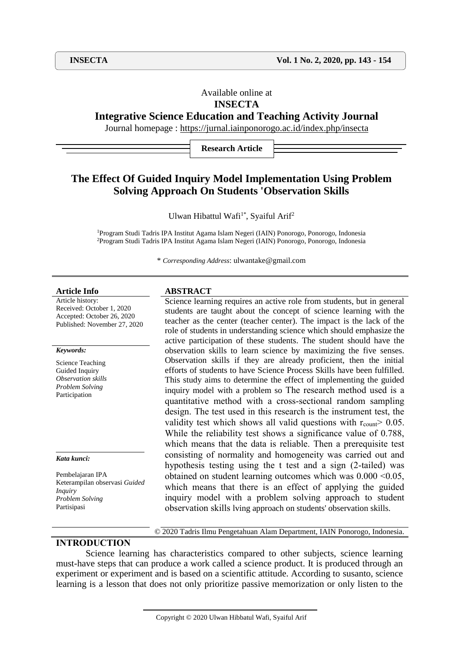# Available online at

# **INSECTA**

# **Integrative Science Education and Teaching Activity Journal**

Journal homepage :<https://jurnal.iainponorogo.ac.id/index.php/insecta>

**Research Article**

# **The Effect Of Guided Inquiry Model Implementation Using Problem Solving Approach On Students 'Observation Skills**

Ulwan Hibattul Wafi<sup>1\*</sup>, Syaiful Arif<sup>2</sup>

<sup>1</sup>Program Studi Tadris IPA Institut Agama Islam Negeri (IAIN) Ponorogo, Ponorogo, Indonesia <sup>2</sup>Program Studi Tadris IPA Institut Agama Islam Negeri (IAIN) Ponorogo, Ponorogo, Indonesia

\* *Corresponding Address*: ulwantake@gmail.com

Article history: Received: October 1, 2020 Accepted: October 26, 2020 Published: November 27, 2020

#### *Keywords:*

Science Teaching Guided Inquiry *Observation skills Problem Solving* Participation

*Kata kunci:*

Pembelajaran IPA Keterampilan observasi *Guided Inquiry Problem Solving*  Partisipasi

### **Article Info ABSTRACT**

Science learning requires an active role from students, but in general students are taught about the concept of science learning with the teacher as the center (teacher center). The impact is the lack of the role of students in understanding science which should emphasize the active participation of these students. The student should have the observation skills to learn science by maximizing the five senses. Observation skills if they are already proficient, then the initial efforts of students to have Science Process Skills have been fulfilled. This study aims to determine the effect of implementing the guided inquiry model with a problem so The research method used is a quantitative method with a cross-sectional random sampling design. The test used in this research is the instrument test, the validity test which shows all valid questions with  $r_{\text{count}}$  0.05. While the reliability test shows a significance value of 0.788, which means that the data is reliable. Then a prerequisite test consisting of normality and homogeneity was carried out and hypothesis testing using the t test and a sign (2-tailed) was obtained on student learning outcomes which was  $0.000 \le 0.05$ , which means that there is an effect of applying the guided inquiry model with a problem solving approach to student observation skills lving approach on students' observation skills.

**INTRODUCTION**

© 2020 Tadris Ilmu Pengetahuan Alam Department, IAIN Ponorogo, Indonesia.

Science learning has characteristics compared to other subjects, science learning must-have steps that can produce a work called a science product. It is produced through an experiment or experiment and is based on a scientific attitude. According to susanto, science learning is a lesson that does not only prioritize passive memorization or only listen to the

Copyright © 2020 Ulwan Hibbatul Wafi, Syaiful Arif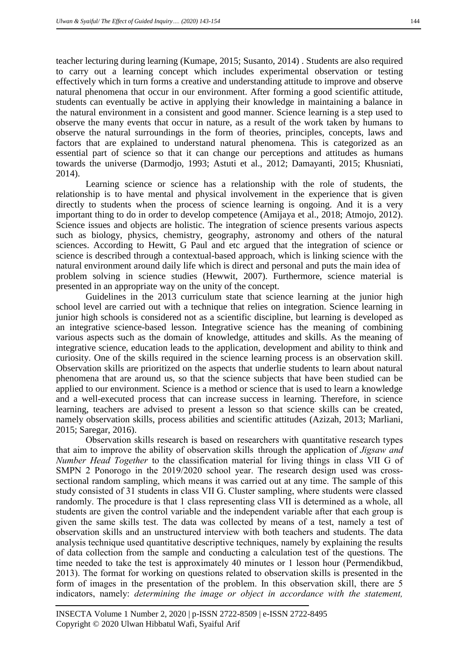teacher lecturing during learning (Kumape, 2015; Susanto, 2014) . Students are also required to carry out a learning concept which includes experimental observation or testing effectively which in turn forms a creative and understanding attitude to improve and observe natural phenomena that occur in our environment. After forming a good scientific attitude, students can eventually be active in applying their knowledge in maintaining a balance in the natural environment in a consistent and good manner. Science learning is a step used to observe the many events that occur in nature, as a result of the work taken by humans to observe the natural surroundings in the form of theories, principles, concepts, laws and factors that are explained to understand natural phenomena. This is categorized as an essential part of science so that it can change our perceptions and attitudes as humans towards the universe (Darmodjo, 1993; Astuti et al., 2012; Damayanti, 2015; Khusniati, 2014).

Learning science or science has a relationship with the role of students, the relationship is to have mental and physical involvement in the experience that is given directly to students when the process of science learning is ongoing. And it is a very important thing to do in order to develop competence (Amijaya et al., 2018; Atmojo, 2012). Science issues and objects are holistic. The integration of science presents various aspects such as biology, physics, chemistry, geography, astronomy and others of the natural sciences. According to Hewitt, G Paul and etc argued that the integration of science or science is described through a contextual-based approach, which is linking science with the natural environment around daily life which is direct and personal and puts the main idea of problem solving in science studies (Hewwit, 2007). Furthermore, science material is presented in an appropriate way on the unity of the concept.

Guidelines in the 2013 curriculum state that science learning at the junior high school level are carried out with a technique that relies on integration. Science learning in junior high schools is considered not as a scientific discipline, but learning is developed as an integrative science-based lesson. Integrative science has the meaning of combining various aspects such as the domain of knowledge, attitudes and skills. As the meaning of integrative science, education leads to the application, development and ability to think and curiosity. One of the skills required in the science learning process is an observation skill. Observation skills are prioritized on the aspects that underlie students to learn about natural phenomena that are around us, so that the science subjects that have been studied can be applied to our environment. Science is a method or science that is used to learn a knowledge and a well-executed process that can increase success in learning. Therefore, in science learning, teachers are advised to present a lesson so that science skills can be created, namely observation skills, process abilities and scientific attitudes (Azizah, 2013; Marliani, 2015; Saregar, 2016).

Observation skills research is based on researchers with quantitative research types that aim to improve the ability of observation skills through the application of *Jigsaw and Number Head Together* to the classification material for living things in class VII G of SMPN 2 Ponorogo in the 2019/2020 school year. The research design used was crosssectional random sampling, which means it was carried out at any time. The sample of this study consisted of 31 students in class VII G. Cluster sampling, where students were classed randomly. The procedure is that 1 class representing class VII is determined as a whole, all students are given the control variable and the independent variable after that each group is given the same skills test. The data was collected by means of a test, namely a test of observation skills and an unstructured interview with both teachers and students. The data analysis technique used quantitative descriptive techniques, namely by explaining the results of data collection from the sample and conducting a calculation test of the questions. The time needed to take the test is approximately 40 minutes or 1 lesson hour (Permendikbud, 2013). The format for working on questions related to observation skills is presented in the form of images in the presentation of the problem. In this observation skill, there are 5 indicators, namely: *determining the image or object in accordance with the statement,*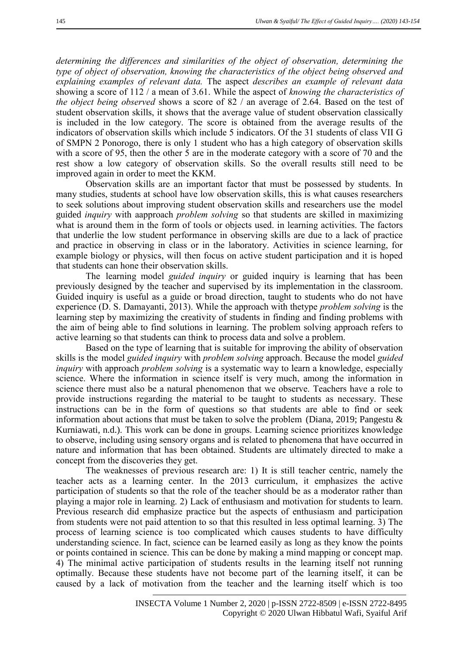*determining the differences and similarities of the object of observation, determining the type of object of observation, knowing the characteristics of the object being observed and explaining examples of relevant data.* The aspect *describes an example of relevant data*  showing a score of 112 / a mean of 3.61. While the aspect of *knowing the characteristics of the object being observed* shows a score of 82 / an average of 2.64. Based on the test of student observation skills, it shows that the average value of student observation classically is included in the low category. The score is obtained from the average results of the indicators of observation skills which include 5 indicators. Of the 31 students of class VII G of SMPN 2 Ponorogo, there is only 1 student who has a high category of observation skills with a score of 95, then the other 5 are in the moderate category with a score of 70 and the rest show a low category of observation skills. So the overall results still need to be improved again in order to meet the KKM.

Observation skills are an important factor that must be possessed by students. In many studies, students at school have low observation skills, this is what causes researchers to seek solutions about improving student observation skills and researchers use the model guided *inquiry* with aapproach *problem solving* so that students are skilled in maximizing what is around them in the form of tools or objects used. in learning activities. The factors that underlie the low student performance in observing skills are due to a lack of practice and practice in observing in class or in the laboratory. Activities in science learning, for example biology or physics, will then focus on active student participation and it is hoped that students can hone their observation skills.

The learning model *guided inquiry* or guided inquiry is learning that has been previously designed by the teacher and supervised by its implementation in the classroom. Guided inquiry is useful as a guide or broad direction, taught to students who do not have experience (D. S. Damayanti, 2013). While the approach with thetype *problem solving* is the learning step by maximizing the creativity of students in finding and finding problems with the aim of being able to find solutions in learning. The problem solving approach refers to active learning so that students can think to process data and solve a problem.

Based on the type of learning that is suitable for improving the ability of observation skills is the model *guided inquiry* with *problem solving* approach. Because the model *guided inquiry* with approach *problem solving* is a systematic way to learn a knowledge, especially science. Where the information in science itself is very much, among the information in science there must also be a natural phenomenon that we observe. Teachers have a role to provide instructions regarding the material to be taught to students as necessary. These instructions can be in the form of questions so that students are able to find or seek information about actions that must be taken to solve the problem (Diana, 2019; Pangestu & Kurniawati, n.d.). This work can be done in groups. Learning science prioritizes knowledge to observe, including using sensory organs and is related to phenomena that have occurred in nature and information that has been obtained. Students are ultimately directed to make a concept from the discoveries they get.

The weaknesses of previous research are: 1) It is still teacher centric, namely the teacher acts as a learning center. In the 2013 curriculum, it emphasizes the active participation of students so that the role of the teacher should be as a moderator rather than playing a major role in learning. 2) Lack of enthusiasm and motivation for students to learn. Previous research did emphasize practice but the aspects of enthusiasm and participation from students were not paid attention to so that this resulted in less optimal learning. 3) The process of learning science is too complicated which causes students to have difficulty understanding science. In fact, science can be learned easily as long as they know the points or points contained in science. This can be done by making a mind mapping or concept map. 4) The minimal active participation of students results in the learning itself not running optimally. Because these students have not become part of the learning itself, it can be caused by a lack of motivation from the teacher and the learning itself which is too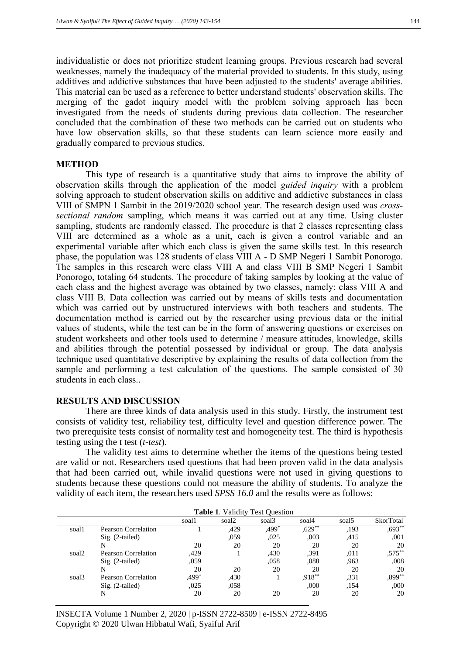individualistic or does not prioritize student learning groups. Previous research had several weaknesses, namely the inadequacy of the material provided to students. In this study, using additives and addictive substances that have been adjusted to the students' average abilities. This material can be used as a reference to better understand students' observation skills. The merging of the gadot inquiry model with the problem solving approach has been investigated from the needs of students during previous data collection. The researcher concluded that the combination of these two methods can be carried out on students who have low observation skills, so that these students can learn science more easily and gradually compared to previous studies.

# **METHOD**

This type of research is a quantitative study that aims to improve the ability of observation skills through the application of the model *guided inquiry* with a problem solving approach to student observation skills on additive and addictive substances in class VIII of SMPN 1 Sambit in the 2019/2020 school year. The research design used was *crosssectional random* sampling, which means it was carried out at any time. Using cluster sampling, students are randomly classed. The procedure is that 2 classes representing class VIII are determined as a whole as a unit, each is given a control variable and an experimental variable after which each class is given the same skills test. In this research phase, the population was 128 students of class VIII A - D SMP Negeri 1 Sambit Ponorogo. The samples in this research were class VIII A and class VIII B SMP Negeri 1 Sambit Ponorogo, totaling 64 students. The procedure of taking samples by looking at the value of each class and the highest average was obtained by two classes, namely: class VIII A and class VIII B. Data collection was carried out by means of skills tests and documentation which was carried out by unstructured interviews with both teachers and students. The documentation method is carried out by the researcher using previous data or the initial values of students, while the test can be in the form of answering questions or exercises on student worksheets and other tools used to determine / measure attitudes, knowledge, skills and abilities through the potential possessed by individual or group. The data analysis technique used quantitative descriptive by explaining the results of data collection from the sample and performing a test calculation of the questions. The sample consisted of 30 students in each class..

# **RESULTS AND DISCUSSION**

There are three kinds of data analysis used in this study. Firstly, the instrument test consists of validity test, reliability test, difficulty level and question difference power. The two prerequisite tests consist of normality test and homogeneity test. The third is hypothesis testing using the t test (*t-test*).

The validity test aims to determine whether the items of the questions being tested are valid or not. Researchers used questions that had been proven valid in the data analysis that had been carried out, while invalid questions were not used in giving questions to students because these questions could not measure the ability of students. To analyze the validity of each item, the researchers used *SPSS 16.0* and the results were as follows:

| <b>Table 1. Validity Test Ouestion</b> |                     |       |       |       |           |                   |                  |  |  |
|----------------------------------------|---------------------|-------|-------|-------|-----------|-------------------|------------------|--|--|
|                                        |                     | soal1 | soal2 | soal3 | soal4     | soal <sub>5</sub> | <b>SkorTotal</b> |  |  |
| soal1                                  | Pearson Correlation |       | ,429  | ,499* | $,629$ ** | ,193              | $,693**$         |  |  |
|                                        | $Sig. (2-tailed)$   |       | ,059  | ,025  | ,003      | .415              | ,001             |  |  |
|                                        | N                   | 20    | 20    | 20    | 20        | 20                | 20               |  |  |
| soal2                                  | Pearson Correlation | ,429  |       | ,430  | .391      | .011              | $,575***$        |  |  |
|                                        | $Sig. (2-tailed)$   | ,059  |       | .058  | .088      | .963              | ,008             |  |  |
|                                        | N                   | 20    | 20    | 20    | 20        | 20                | 20               |  |  |
| soal <sub>3</sub>                      | Pearson Correlation | ,499* | .430  |       | $,918***$ | .331              | $,899**$         |  |  |
|                                        | $Sig. (2-tailed)$   | .025  | .058  |       | .000      | .154              | ,000             |  |  |
|                                        | N                   | 20    | 20    | 20    | 20        | 20                | 20               |  |  |

INSECTA Volume 1 Number 2, 2020 | p-ISSN 2722-8509 | e-ISSN 2722-8495 Copyright © 2020 Ulwan Hibbatul Wafi, Syaiful Arif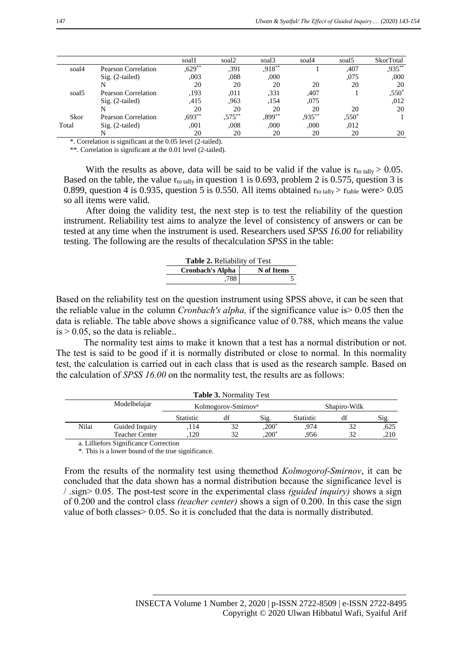|                   |                     | soal1     | soal2     | soal <sub>3</sub> | soal4     | soal <sub>5</sub> | <b>SkorTotal</b> |
|-------------------|---------------------|-----------|-----------|-------------------|-----------|-------------------|------------------|
| soal4             | Pearson Correlation | $,629**$  | .391      | $,918**$          |           | ,407              | $,935***$        |
|                   | $Sig. (2-tailed)$   | ,003      | .088      | ,000              |           | ,075              | ,000             |
|                   |                     | 20        | 20        | 20                | 20        | 20                | 20               |
| soal <sub>5</sub> | Pearson Correlation | ,193      | .011      | .331              | ,407      |                   | $,550*$          |
|                   | $Sig. (2-tailed)$   | .415      | .963      | ,154              | .075      |                   | .012             |
|                   |                     | 20        | 20        | 20                | 20        | 20                | 20               |
| Skor              | Pearson Correlation | $0.693**$ | $,575***$ | $0.899**$         | $,935***$ | $.550*$           |                  |
| Total             | $Sig. (2-tailed)$   | .001      | .008      | .000              | ,000      | .012              |                  |
|                   |                     | 20        | 20        | 20                | 20        | 20                | 20               |

\*. Correlation is significant at the 0.05 level (2-tailed).

\*\*. Correlation is significant at the 0.01 level (2-tailed).

With the results as above, data will be said to be valid if the value is  $r_{\text{to tally}} > 0.05$ . Based on the table, the value  $r_{\text{to tally}}$  in question 1 is 0.693, problem 2 is 0.575, question 3 is 0.899, question 4 is 0.935, question 5 is 0.550. All items obtained  $r_{\text{to talk}} > r_{\text{table}}$  were  $> 0.05$ so all items were valid.

After doing the validity test, the next step is to test the reliability of the question instrument. Reliability test aims to analyze the level of consistency of answers or can be tested at any time when the instrument is used. Researchers used *SPSS 16.00* for reliability testing. The following are the results of thecalculation *SPSS* in the table:

| <b>Table 2.</b> Reliability of Test |            |  |  |  |  |
|-------------------------------------|------------|--|--|--|--|
| <b>Cronbach's Alpha</b>             | N of Items |  |  |  |  |
| .788                                |            |  |  |  |  |

Based on the reliability test on the question instrument using SPSS above, it can be seen that the reliable value in the column *Cronbach's alpha,* if the significance value is> 0.05 then the data is reliable. The table above shows a significance value of 0.788, which means the value  $is > 0.05$ , so the data is reliable..

The normality test aims to make it known that a test has a normal distribution or not. The test is said to be good if it is normally distributed or close to normal. In this normality test, the calculation is carried out in each class that is used as the research sample. Based on the calculation of *SPSS 16.00* on the normality test, the results are as follows:

|       |                       |                  | <b>Table 3. Normality Test</b>  |          |                  |    |      |  |
|-------|-----------------------|------------------|---------------------------------|----------|------------------|----|------|--|
|       | Modelbelajar          |                  | Kolmogorov-Smirnov <sup>a</sup> |          | Shapiro-Wilk     |    |      |  |
|       |                       | <b>Statistic</b> | df                              | Sig.     | <b>Statistic</b> |    | Sig. |  |
| Nilai | Guided Inquiry        | 114              | 32                              | $,200*$  | .974             |    | .625 |  |
|       | <b>Teacher Center</b> | 120              | 32                              | $,200^*$ | 956              | 32 | .210 |  |

a. Lilliefors Significance Correction

\*. This is a lower bound of the true significance.

From the results of the normality test using themethod *Kolmogorof-Smirnov*, it can be concluded that the data shown has a normal distribution because the significance level is / .sign> 0.05. The post-test score in the experimental class *(guided inquiry)* shows a sign of 0.200 and the control class *(teacher center)* shows a sign of 0.200. In this case the sign value of both classes> 0.05. So it is concluded that the data is normally distributed.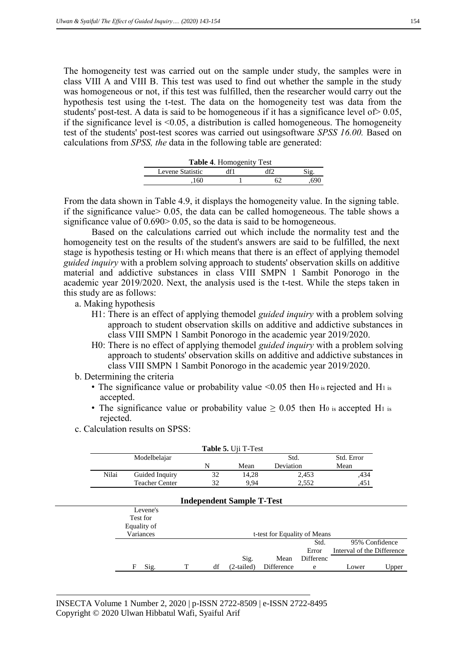The homogeneity test was carried out on the sample under study, the samples were in class VIII A and VIII B. This test was used to find out whether the sample in the study was homogeneous or not, if this test was fulfilled, then the researcher would carry out the hypothesis test using the t-test. The data on the homogeneity test was data from the students' post-test. A data is said to be homogeneous if it has a significance level of  $> 0.05$ , if the significance level is  $\leq 0.05$ , a distribution is called homogeneous. The homogeneity test of the students' post-test scores was carried out usingsoftware *SPSS 16.00.* Based on calculations from *SPSS, the* data in the following table are generated:

| <b>Table 4. Homogenity Test</b> |  |   |     |  |  |  |  |  |
|---------------------------------|--|---|-----|--|--|--|--|--|
| Levene Statistic                |  | ₩ |     |  |  |  |  |  |
| 160                             |  |   | 690 |  |  |  |  |  |

From the data shown in Table 4.9, it displays the homogeneity value. In the signing table. if the significance value  $0.05$ , the data can be called homogeneous. The table shows a significance value of 0.690 > 0.05, so the data is said to be homogeneous.

Based on the calculations carried out which include the normality test and the homogeneity test on the results of the student's answers are said to be fulfilled, the next stage is hypothesis testing or H1 which means that there is an effect of applying themodel *guided inquiry* with a problem solving approach to students' observation skills on additive material and addictive substances in class VIII SMPN 1 Sambit Ponorogo in the academic year 2019/2020. Next, the analysis used is the t-test. While the steps taken in this study are as follows:

a. Making hypothesis

- H1: There is an effect of applying themodel *guided inquiry* with a problem solving approach to student observation skills on additive and addictive substances in class VIII SMPN 1 Sambit Ponorogo in the academic year 2019/2020.
- H0: There is no effect of applying themodel *guided inquiry* with a problem solving approach to students' observation skills on additive and addictive substances in class VIII SMPN 1 Sambit Ponorogo in the academic year 2019/2020.
- b. Determining the criteria
	- The significance value or probability value  $\leq 0.05$  then H<sub>0</sub> is rejected and H<sub>1</sub> is accepted.
	- The significance value or probability value  $\geq 0.05$  then H<sub>0</sub> is accepted H<sub>1</sub> is rejected.
- c. Calculation results on SPSS:

|       |              |                       |   |    | Table 5. Uji T-Test              |                              |           |                            |                |
|-------|--------------|-----------------------|---|----|----------------------------------|------------------------------|-----------|----------------------------|----------------|
|       | Modelbelajar |                       |   |    |                                  | Std.                         |           | Std. Error                 |                |
|       |              |                       |   | N  | Mean                             | Deviation                    |           | Mean                       |                |
| Nilai |              | Guided Inquiry        |   | 32 | 14,28                            |                              | 2,453     | ,434                       |                |
|       |              | <b>Teacher Center</b> |   | 32 | 9,94                             |                              | 2,552     | ,451                       |                |
|       |              |                       |   |    | <b>Independent Sample T-Test</b> |                              |           |                            |                |
|       |              | Levene's              |   |    |                                  |                              |           |                            |                |
|       |              | Test for              |   |    |                                  |                              |           |                            |                |
|       |              | Equality of           |   |    |                                  |                              |           |                            |                |
|       |              | Variances             |   |    |                                  | t-test for Equality of Means |           |                            |                |
|       |              |                       |   |    |                                  |                              | Std.      |                            | 95% Confidence |
|       |              |                       |   |    |                                  |                              | Error     | Interval of the Difference |                |
|       |              |                       |   |    | Sig.                             | Mean                         | Differenc |                            |                |
|       | F            | Sig.                  | T | df | $(2-tailed)$                     | Difference                   | e         | Lower                      | Upper          |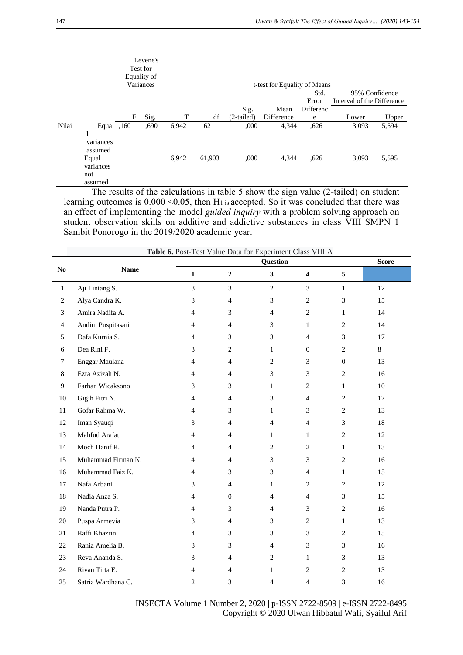|       |                                                         |      | Levene's<br>Test for     |       |                              |              |            |               |                                              |       |
|-------|---------------------------------------------------------|------|--------------------------|-------|------------------------------|--------------|------------|---------------|----------------------------------------------|-------|
|       |                                                         |      | Equality of<br>Variances |       | t-test for Equality of Means |              |            |               |                                              |       |
|       |                                                         |      |                          |       |                              |              |            | Std.<br>Error | 95% Confidence<br>Interval of the Difference |       |
|       |                                                         |      |                          |       |                              | Sig.         | Mean       | Differenc     |                                              |       |
|       |                                                         | F    | Sig.                     | т     | df                           | $(2-tailed)$ | Difference | e             | Lower                                        | Upper |
| Nilai | Equa                                                    | ,160 | ,690                     | 6,942 | 62                           | ,000         | 4,344      | ,626          | 3,093                                        | 5,594 |
|       | л.<br>variances<br>assumed<br>Equal<br>variances<br>not |      |                          | 6,942 | 61,903                       | ,000         | 4,344      | ,626          | 3,093                                        | 5,595 |
|       | assumed                                                 |      |                          |       |                              |              |            |               |                                              |       |

The results of the calculations in table 5 show the sign value (2-tailed) on student learning outcomes is  $0.000 \le 0.05$ , then H<sub>1</sub> is accepted. So it was concluded that there was an effect of implementing the model *guided inquiry* with a problem solving approach on student observation skills on additive and addictive substances in class VIII SMPN 1 Sambit Ponorogo in the 2019/2020 academic year.

|                |                    |                |                  | Question       |                         |                | <b>Score</b> |
|----------------|--------------------|----------------|------------------|----------------|-------------------------|----------------|--------------|
| $\bf No$       | <b>Name</b>        | $\mathbf{1}$   | $\boldsymbol{2}$ | $\mathbf{3}$   | $\overline{\mathbf{4}}$ | 5              |              |
| $\,1$          | Aji Lintang S.     | 3              | 3                | $\overline{2}$ | $\overline{3}$          | $\mathbf{1}$   | 12           |
| 2              | Alya Candra K.     | 3              | $\overline{4}$   | 3              | $\mathbf{2}$            | 3              | 15           |
| 3              | Amira Nadifa A.    | 4              | 3                | $\overline{4}$ | $\overline{c}$          | $\mathbf{1}$   | 14           |
| $\overline{4}$ | Andini Puspitasari | $\overline{4}$ | $\overline{4}$   | 3              | $\mathbf{1}$            | $\mathbf{2}$   | 14           |
| 5              | Dafa Kurnia S.     | $\overline{4}$ | 3                | 3              | $\overline{4}$          | 3              | 17           |
| 6              | Dea Rini F.        | 3              | 2                | $\mathbf{1}$   | $\mathbf{0}$            | $\overline{c}$ | 8            |
| $\tau$         | Enggar Maulana     | 4              | 4                | $\mathbf{2}$   | 3                       | $\mathbf{0}$   | 13           |
| 8              | Ezra Azizah N.     | 4              | 4                | 3              | 3                       | $\overline{2}$ | 16           |
| 9              | Farhan Wicaksono   | 3              | 3                | 1              | 2                       | $\mathbf{1}$   | 10           |
| 10             | Gigih Fitri N.     | 4              | $\overline{4}$   | 3              | $\overline{4}$          | $\overline{c}$ | 17           |
| 11             | Gofar Rahma W.     | $\overline{4}$ | 3                | $\mathbf{1}$   | 3                       | $\overline{c}$ | 13           |
| 12             | Iman Syauqi        | 3              | $\overline{4}$   | $\overline{4}$ | $\overline{4}$          | 3              | 18           |
| 13             | Mahfud Arafat      | 4              | 4                | $\mathbf{1}$   | $\mathbf{1}$            | $\mathbf{2}$   | 12           |
| 14             | Moch Hanif R.      | 4              | $\overline{4}$   | $\overline{2}$ | $\mathbf{2}$            | $\mathbf{1}$   | 13           |
| 15             | Muhammad Firman N. | 4              | 4                | 3              | 3                       | $\mathbf{2}$   | 16           |
| 16             | Muhammad Faiz K.   | 4              | 3                | 3              | $\overline{4}$          | $\mathbf{1}$   | 15           |
| 17             | Nafa Arbani        | 3              | $\overline{4}$   | $\mathbf{1}$   | $\overline{c}$          | $\mathbf{2}$   | 12           |
| 18             | Nadia Anza S.      | 4              | $\overline{0}$   | $\overline{4}$ | $\overline{4}$          | 3              | 15           |
| 19             | Nanda Putra P.     | $\overline{4}$ | 3                | $\overline{4}$ | 3                       | $\mathbf{2}$   | 16           |
| 20             | Puspa Armevia      | 3              | $\overline{4}$   | 3              | $\mathbf{2}$            | $\mathbf{1}$   | 13           |
| 21             | Raffi Khazrin      | $\overline{4}$ | 3                | 3              | 3                       | $\mathbf{2}$   | 15           |
| 22             | Rania Amelia B.    | 3              | 3                | $\overline{4}$ | 3                       | 3              | 16           |
| 23             | Reva Ananda S.     | 3              | 4                | $\overline{2}$ | $\mathbf{1}$            | 3              | 13           |
| 24             | Rivan Tirta E.     | 4              | 4                | 1              | 2                       | $\mathbf{2}$   | 13           |
| 25             | Satria Wardhana C. | $\overline{2}$ | 3                | 4              | 4                       | 3              | 16           |

 **Table 6.** Post-Test Value Data for Experiment Class VIII A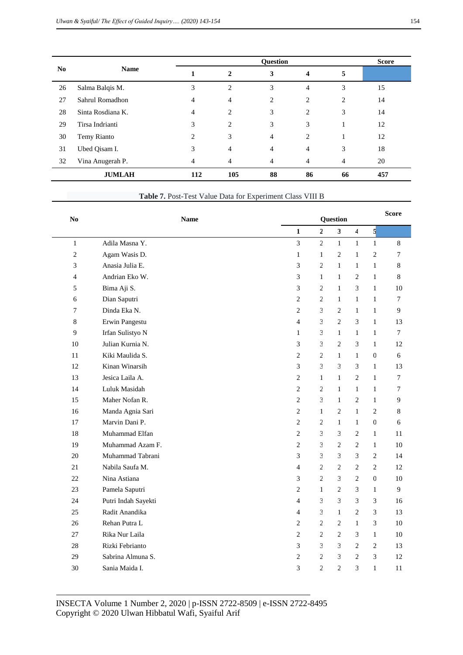|                | <b>Name</b>       |                | <b>Ouestion</b> |                |                |                |     |  |
|----------------|-------------------|----------------|-----------------|----------------|----------------|----------------|-----|--|
| N <sub>0</sub> |                   |                | $\mathbf{2}$    | 3              | 4              | 5              |     |  |
| 26             | Salma Balqis M.   | 3              | $\overline{c}$  | 3              | $\overline{4}$ | 3              | 15  |  |
| 27             | Sahrul Romadhon   | $\overline{4}$ | 4               | 2              | 2              | $\overline{c}$ | 14  |  |
| 28             | Sinta Rosdiana K. | 4              | $\overline{c}$  | 3              | 2              | 3              | 14  |  |
| 29             | Tirsa Indrianti   | 3              | $\overline{c}$  | 3              | 3              |                | 12  |  |
| 30             | Temy Rianto       | $\overline{c}$ | 3               | $\overline{4}$ | $\overline{c}$ |                | 12  |  |
| 31             | Ubed Qisam I.     | 3              | 4               | $\overline{4}$ | 4              | 3              | 18  |  |
| 32             | Vina Anugerah P.  | 4              | 4               | $\overline{4}$ | 4              | 4              | 20  |  |
|                | <b>JUMLAH</b>     | 112            | 105             | 88             | 86             | 66             | 457 |  |

| <b>Table 7.</b> Post-Test Value Data for Experiment Class VIII B |
|------------------------------------------------------------------|
|------------------------------------------------------------------|

| N <sub>0</sub> | <b>Name</b>         |                |                |                |                |                | <b>Score</b>     |
|----------------|---------------------|----------------|----------------|----------------|----------------|----------------|------------------|
|                |                     | $\mathbf{1}$   | $\overline{2}$ | $\mathbf{3}$   | $\overline{4}$ | 5              |                  |
| $\mathbf{1}$   | Adila Masna Y.      | $\overline{3}$ | $\overline{2}$ | $\mathbf{1}$   | $\mathbf{1}$   | $\mathbf{1}$   | 8                |
| $\overline{c}$ | Agam Wasis D.       | $\mathbf{1}$   | $\mathbf{1}$   | $\overline{2}$ | $\mathbf{1}$   | $\overline{c}$ | 7                |
| 3              | Anasia Julia E.     | 3              | $\overline{c}$ | $\mathbf{1}$   | $\mathbf{1}$   | $\mathbf{1}$   | 8                |
| $\overline{4}$ | Andrian Eko W.      | 3              | $\mathbf{1}$   | $\mathbf{1}$   | $\overline{2}$ | $\mathbf{1}$   | $\,8\,$          |
| 5              | Bima Aji S.         | 3              | $\overline{c}$ | $\mathbf{1}$   | 3              | $\mathbf{1}$   | 10               |
| 6              | Dian Saputri        | $\overline{c}$ | $\overline{2}$ | $\mathbf{1}$   | $\mathbf{1}$   | $\mathbf{1}$   | $\tau$           |
| 7              | Dinda Eka N.        | 2              | 3              | $\overline{2}$ | $\mathbf{1}$   | $\mathbf{1}$   | 9                |
| 8              | Erwin Pangestu      | $\overline{4}$ | 3              | $\overline{c}$ | 3              | $\mathbf{1}$   | 13               |
| 9              | Irfan Sulistyo N    | $\mathbf{1}$   | 3              | $\mathbf{1}$   | $\mathbf{1}$   | $\mathbf{1}$   | $\boldsymbol{7}$ |
| 10             | Julian Kurnia N.    | 3              | 3              | $\overline{2}$ | 3              | $\mathbf{1}$   | 12               |
| 11             | Kiki Maulida S.     | $\overline{2}$ | $\overline{c}$ | $\mathbf{1}$   | $\mathbf{1}$   | $\mathbf{0}$   | 6                |
| 12             | Kinan Winarsih      | 3              | 3              | 3              | 3              | $\mathbf{1}$   | 13               |
| 13             | Jesica Laila A.     | $\overline{2}$ | $\mathbf{1}$   | $\mathbf{1}$   | $\overline{2}$ | $\mathbf{1}$   | $\boldsymbol{7}$ |
| 14             | Luluk Masidah       | $\overline{2}$ | $\overline{c}$ | $\mathbf{1}$   | $\mathbf{1}$   | $\mathbf{1}$   | 7                |
| 15             | Maher Nofan R.      | $\overline{2}$ | 3              | $\mathbf{1}$   | $\overline{2}$ | $\mathbf{1}$   | 9                |
| 16             | Manda Agnia Sari    | $\overline{c}$ | $\mathbf{1}$   | $\overline{2}$ | $\mathbf{1}$   | $\overline{2}$ | $\,8\,$          |
| 17             | Marvin Dani P.      | $\overline{2}$ | $\overline{c}$ | $\mathbf{1}$   | $\mathbf{1}$   | $\mathbf 0$    | 6                |
| 18             | Muhammad Elfan      | $\overline{2}$ | 3              | 3              | $\overline{2}$ | $\mathbf{1}$   | 11               |
| 19             | Muhammad Azam F.    | $\overline{c}$ | 3              | $\overline{2}$ | $\overline{2}$ | $\mathbf{1}$   | 10               |
| 20             | Muhammad Tabrani    | 3              | 3              | 3              | 3              | $\overline{2}$ | 14               |
| 21             | Nabila Saufa M.     | $\overline{4}$ | $\overline{2}$ | $\overline{2}$ | $\overline{2}$ | $\overline{c}$ | 12               |
| 22             | Nina Astiana        | 3              | $\overline{2}$ | 3              | $\overline{2}$ | $\overline{0}$ | 10               |
| 23             | Pamela Saputri      | $\overline{2}$ | $\mathbf{1}$   | $\overline{2}$ | 3              | $\mathbf{1}$   | 9                |
| 24             | Putri Indah Sayekti | $\overline{4}$ | 3              | 3              | 3              | 3              | 16               |
| 25             | Radit Anandika      | $\overline{4}$ | 3              | $\mathbf{1}$   | $\overline{2}$ | 3              | 13               |
| 26             | Rehan Putra L       | $\overline{2}$ | $\overline{2}$ | $\overline{2}$ | $\mathbf{1}$   | 3              | 10               |
| 27             | Rika Nur Laila      | 2              | $\overline{2}$ | $\overline{c}$ | 3              | $\mathbf{1}$   | 10               |
| 28             | Rizki Febrianto     | 3              | 3              | 3              | $\overline{2}$ | $\overline{a}$ | 13               |
| 29             | Sabrina Almuna S.   | $\overline{c}$ | $\overline{2}$ | 3              | $\overline{2}$ | 3              | 12               |
| 30             | Sania Maida I.      | 3              | $\overline{c}$ | $\overline{c}$ | 3              | $\mathbf{1}$   | 11               |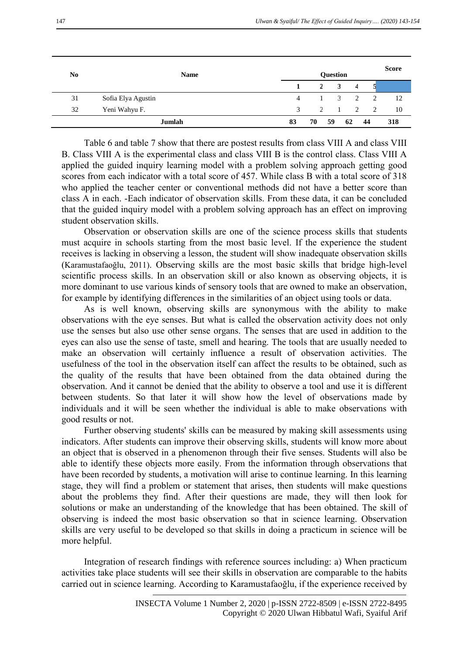| N <sub>0</sub> | <b>Name</b>        | <b>Question</b> |                |                         |                |                |     |  |
|----------------|--------------------|-----------------|----------------|-------------------------|----------------|----------------|-----|--|
|                |                    |                 | $\overline{2}$ | $\mathbf{3}$            | $\overline{4}$ |                |     |  |
| 31             | Sofia Elya Agustin | 4               |                | $\overline{\mathbf{3}}$ | $\overline{2}$ | $\overline{2}$ | 12  |  |
| 32             | Yeni Wahyu F.      | $\mathcal{R}$   | $\mathcal{D}$  |                         |                | 1 2 2          | 10  |  |
|                | Jumlah             | 83              | 70             | 59                      | 62             | 44             | 318 |  |

Table 6 and table 7 show that there are postest results from class VIII A and class VIII B. Class VIII A is the experimental class and class VIII B is the control class. Class VIII A applied the guided inquiry learning model with a problem solving approach getting good scores from each indicator with a total score of 457. While class B with a total score of 318 who applied the teacher center or conventional methods did not have a better score than class A in each. -Each indicator of observation skills. From these data, it can be concluded that the guided inquiry model with a problem solving approach has an effect on improving student observation skills.

Observation or observation skills are one of the science process skills that students must acquire in schools starting from the most basic level. If the experience the student receives is lacking in observing a lesson, the student will show inadequate observation skills (Karamustafaoğlu, 2011). Observing skills are the most basic skills that bridge high-level scientific process skills. In an observation skill or also known as observing objects, it is more dominant to use various kinds of sensory tools that are owned to make an observation, for example by identifying differences in the similarities of an object using tools or data.

As is well known, observing skills are synonymous with the ability to make observations with the eye senses. But what is called the observation activity does not only use the senses but also use other sense organs. The senses that are used in addition to the eyes can also use the sense of taste, smell and hearing. The tools that are usually needed to make an observation will certainly influence a result of observation activities. The usefulness of the tool in the observation itself can affect the results to be obtained, such as the quality of the results that have been obtained from the data obtained during the observation. And it cannot be denied that the ability to observe a tool and use it is different between students. So that later it will show how the level of observations made by individuals and it will be seen whether the individual is able to make observations with good results or not.

Further observing students' skills can be measured by making skill assessments using indicators. After students can improve their observing skills, students will know more about an object that is observed in a phenomenon through their five senses. Students will also be able to identify these objects more easily. From the information through observations that have been recorded by students, a motivation will arise to continue learning. In this learning stage, they will find a problem or statement that arises, then students will make questions about the problems they find. After their questions are made, they will then look for solutions or make an understanding of the knowledge that has been obtained. The skill of observing is indeed the most basic observation so that in science learning. Observation skills are very useful to be developed so that skills in doing a practicum in science will be more helpful.

Integration of research findings with reference sources including: a) When practicum activities take place students will see their skills in observation are comparable to the habits carried out in science learning. According to Karamustafaoğlu, if the experience received by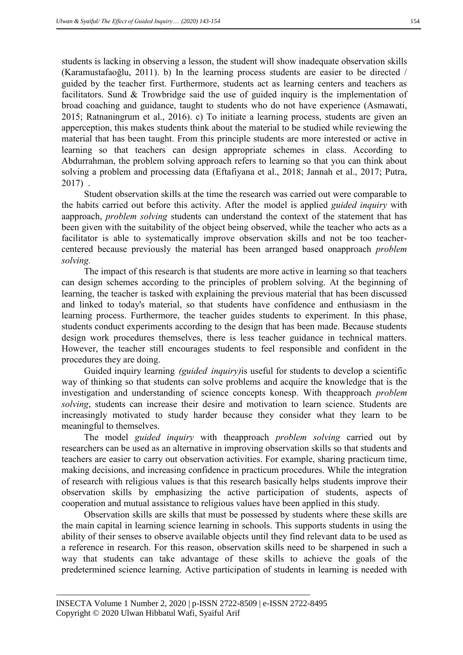students is lacking in observing a lesson, the student will show inadequate observation skills (Karamustafaoğlu, 2011). b) In the learning process students are easier to be directed / guided by the teacher first. Furthermore, students act as learning centers and teachers as facilitators. Sund & Trowbridge said the use of guided inquiry is the implementation of broad coaching and guidance, taught to students who do not have experience (Asmawati, 2015; Ratnaningrum et al., 2016). c) To initiate a learning process, students are given an apperception, this makes students think about the material to be studied while reviewing the material that has been taught. From this principle students are more interested or active in learning so that teachers can design appropriate schemes in class. According to Abdurrahman, the problem solving approach refers to learning so that you can think about solving a problem and processing data (Eftafiyana et al., 2018; Jannah et al., 2017; Putra, 2017) .

Student observation skills at the time the research was carried out were comparable to the habits carried out before this activity. After the model is applied *guided inquiry* with aapproach, *problem solving* students can understand the context of the statement that has been given with the suitability of the object being observed, while the teacher who acts as a facilitator is able to systematically improve observation skills and not be too teachercentered because previously the material has been arranged based onapproach *problem solving.* 

The impact of this research is that students are more active in learning so that teachers can design schemes according to the principles of problem solving. At the beginning of learning, the teacher is tasked with explaining the previous material that has been discussed and linked to today's material, so that students have confidence and enthusiasm in the learning process. Furthermore, the teacher guides students to experiment. In this phase, students conduct experiments according to the design that has been made. Because students design work procedures themselves, there is less teacher guidance in technical matters. However, the teacher still encourages students to feel responsible and confident in the procedures they are doing.

Guided inquiry learning *(guided inquiry)*is useful for students to develop a scientific way of thinking so that students can solve problems and acquire the knowledge that is the investigation and understanding of science concepts konesp. With theapproach *problem solving*, students can increase their desire and motivation to learn science. Students are increasingly motivated to study harder because they consider what they learn to be meaningful to themselves.

The model *guided inquiry* with theapproach *problem solving* carried out by researchers can be used as an alternative in improving observation skills so that students and teachers are easier to carry out observation activities. For example, sharing practicum time, making decisions, and increasing confidence in practicum procedures. While the integration of research with religious values is that this research basically helps students improve their observation skills by emphasizing the active participation of students, aspects of cooperation and mutual assistance to religious values have been applied in this study.

Observation skills are skills that must be possessed by students where these skills are the main capital in learning science learning in schools. This supports students in using the ability of their senses to observe available objects until they find relevant data to be used as a reference in research. For this reason, observation skills need to be sharpened in such a way that students can take advantage of these skills to achieve the goals of the predetermined science learning. Active participation of students in learning is needed with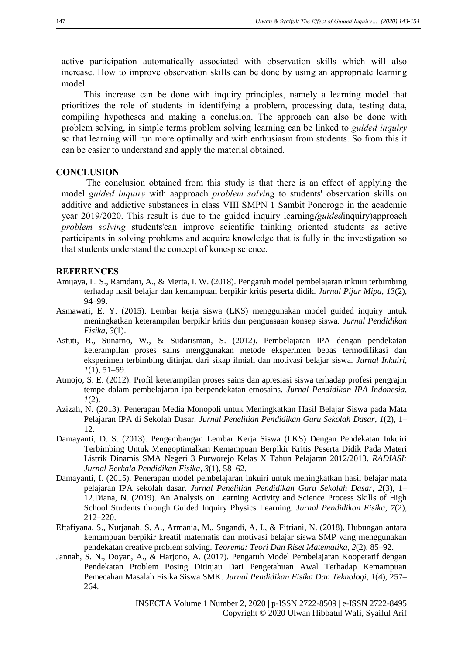active participation automatically associated with observation skills which will also increase. How to improve observation skills can be done by using an appropriate learning model.

This increase can be done with inquiry principles, namely a learning model that prioritizes the role of students in identifying a problem, processing data, testing data, compiling hypotheses and making a conclusion. The approach can also be done with problem solving, in simple terms problem solving learning can be linked to *guided inquiry*  so that learning will run more optimally and with enthusiasm from students. So from this it can be easier to understand and apply the material obtained.

## **CONCLUSION**

The conclusion obtained from this study is that there is an effect of applying the model *guided inquiry* with aapproach *problem solving* to students' observation skills on additive and addictive substances in class VIII SMPN 1 Sambit Ponorogo in the academic year 2019/2020. This result is due to the guided inquiry learning*(guided*inquiry)approach *problem solving* students'can improve scientific thinking oriented students as active participants in solving problems and acquire knowledge that is fully in the investigation so that students understand the concept of konesp science.

## **REFERENCES**

- Amijaya, L. S., Ramdani, A., & Merta, I. W. (2018). Pengaruh model pembelajaran inkuiri terbimbing terhadap hasil belajar dan kemampuan berpikir kritis peserta didik. *Jurnal Pijar Mipa*, *13*(2), 94–99.
- Asmawati, E. Y. (2015). Lembar kerja siswa (LKS) menggunakan model guided inquiry untuk meningkatkan keterampilan berpikir kritis dan penguasaan konsep siswa. *Jurnal Pendidikan Fisika*, *3*(1).
- Astuti, R., Sunarno, W., & Sudarisman, S. (2012). Pembelajaran IPA dengan pendekatan keterampilan proses sains menggunakan metode eksperimen bebas termodifikasi dan eksperimen terbimbing ditinjau dari sikap ilmiah dan motivasi belajar siswa. *Jurnal Inkuiri*, *1*(1), 51–59.
- Atmojo, S. E. (2012). Profil keterampilan proses sains dan apresiasi siswa terhadap profesi pengrajin tempe dalam pembelajaran ipa berpendekatan etnosains. *Jurnal Pendidikan IPA Indonesia*, *1*(2).
- Azizah, N. (2013). Penerapan Media Monopoli untuk Meningkatkan Hasil Belajar Siswa pada Mata Pelajaran IPA di Sekolah Dasar. *Jurnal Penelitian Pendidikan Guru Sekolah Dasar*, *1*(2), 1– 12.
- Damayanti, D. S. (2013). Pengembangan Lembar Kerja Siswa (LKS) Dengan Pendekatan Inkuiri Terbimbing Untuk Mengoptimalkan Kemampuan Berpikir Kritis Peserta Didik Pada Materi Listrik Dinamis SMA Negeri 3 Purworejo Kelas X Tahun Pelajaran 2012/2013. *RADIASI: Jurnal Berkala Pendidikan Fisika*, *3*(1), 58–62.
- Damayanti, I. (2015). Penerapan model pembelajaran inkuiri untuk meningkatkan hasil belajar mata pelajaran IPA sekolah dasar. *Jurnal Penelitian Pendidikan Guru Sekolah Dasar*, *2*(3), 1– 12.Diana, N. (2019). An Analysis on Learning Activity and Science Process Skills of High School Students through Guided Inquiry Physics Learning. *Jurnal Pendidikan Fisika*, *7*(2), 212–220.
- Eftafiyana, S., Nurjanah, S. A., Armania, M., Sugandi, A. I., & Fitriani, N. (2018). Hubungan antara kemampuan berpikir kreatif matematis dan motivasi belajar siswa SMP yang menggunakan pendekatan creative problem solving. *Teorema: Teori Dan Riset Matematika*, *2*(2), 85–92.
- Jannah, S. N., Doyan, A., & Harjono, A. (2017). Pengaruh Model Pembelajaran Kooperatif dengan Pendekatan Problem Posing Ditinjau Dari Pengetahuan Awal Terhadap Kemampuan Pemecahan Masalah Fisika Siswa SMK. *Jurnal Pendidikan Fisika Dan Teknologi*, *1*(4), 257– 264.